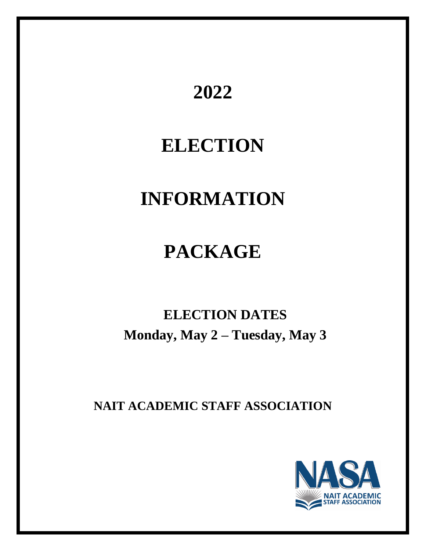# **2022**

# **ELECTION**

# **INFORMATION**

# **PACKAGE**

# **ELECTION DATES Monday, May 2 – Tuesday, May 3**

**NAIT ACADEMIC STAFF ASSOCIATION**

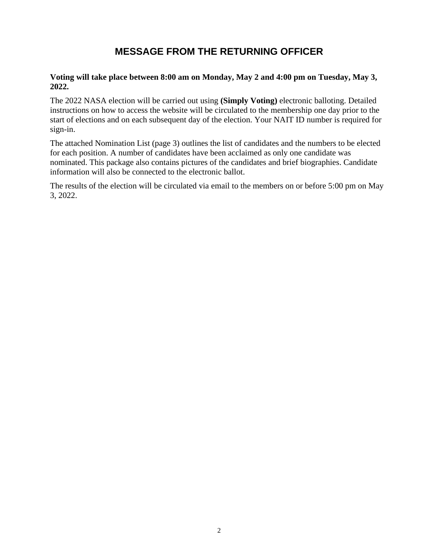# **MESSAGE FROM THE RETURNING OFFICER**

### **Voting will take place between 8:00 am on Monday, May 2 and 4:00 pm on Tuesday, May 3, 2022.**

The 2022 NASA election will be carried out using **(Simply Voting)** electronic balloting. Detailed instructions on how to access the website will be circulated to the membership one day prior to the start of elections and on each subsequent day of the election. Your NAIT ID number is required for sign-in.

The attached Nomination List (page 3) outlines the list of candidates and the numbers to be elected for each position. A number of candidates have been acclaimed as only one candidate was nominated. This package also contains pictures of the candidates and brief biographies. Candidate information will also be connected to the electronic ballot.

The results of the election will be circulated via email to the members on or before 5:00 pm on May 3, 2022.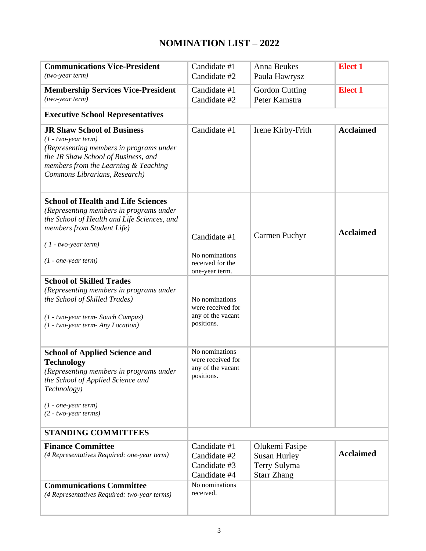# **NOMINATION LIST – 2022**

| <b>Communications Vice-President</b><br>$(two-year term)$                                                                                                                                                             | Candidate #1<br>Candidate #2                                           | Anna Beukes<br>Paula Hawrysz                                                | <b>Elect 1</b>   |
|-----------------------------------------------------------------------------------------------------------------------------------------------------------------------------------------------------------------------|------------------------------------------------------------------------|-----------------------------------------------------------------------------|------------------|
| <b>Membership Services Vice-President</b><br>$(two-year term)$                                                                                                                                                        | Candidate #1<br>Candidate #2                                           | <b>Gordon Cutting</b><br>Peter Kamstra                                      | <b>Elect 1</b>   |
| <b>Executive School Representatives</b>                                                                                                                                                                               |                                                                        |                                                                             |                  |
| <b>JR Shaw School of Business</b><br>$(1 - two-year term)$<br>(Representing members in programs under<br>the JR Shaw School of Business, and<br>members from the Learning & Teaching<br>Commons Librarians, Research) | Candidate #1                                                           | Irene Kirby-Frith                                                           | <b>Acclaimed</b> |
| <b>School of Health and Life Sciences</b><br>(Representing members in programs under<br>the School of Health and Life Sciences, and<br>members from Student Life)<br>$(1 - two-year term)$<br>$(1 - one-year term)$   | Candidate #1<br>No nominations<br>received for the<br>one-year term.   | Carmen Puchyr                                                               | <b>Acclaimed</b> |
| <b>School of Skilled Trades</b><br>(Representing members in programs under<br>the School of Skilled Trades)<br>(1 - two-year term- Souch Campus)<br>(1 - two-year term- Any Location)                                 | No nominations<br>were received for<br>any of the vacant<br>positions. |                                                                             |                  |
| <b>School of Applied Science and</b><br><b>Technology</b><br>(Representing members in programs under<br>the School of Applied Science and<br>Technology)<br>$(1 - one-year term)$<br>$(2 - two-year terms)$           | No nominations<br>were received for<br>any of the vacant<br>positions. |                                                                             |                  |
| <b>STANDING COMMITTEES</b>                                                                                                                                                                                            |                                                                        |                                                                             |                  |
| <b>Finance Committee</b><br>(4 Representatives Required: one-year term)                                                                                                                                               | Candidate #1<br>Candidate #2<br>Candidate #3<br>Candidate #4           | Olukemi Fasipe<br><b>Susan Hurley</b><br>Terry Sulyma<br><b>Starr Zhang</b> | <b>Acclaimed</b> |
| <b>Communications Committee</b><br>(4 Representatives Required: two-year terms)                                                                                                                                       | No nominations<br>received.                                            |                                                                             |                  |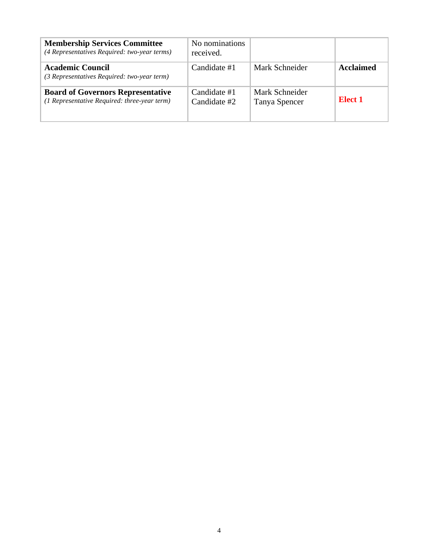| <b>Membership Services Committee</b><br>(4 Representatives Required: two-year terms)     | No nominations<br>received.  |                                 |           |
|------------------------------------------------------------------------------------------|------------------------------|---------------------------------|-----------|
| <b>Academic Council</b><br>(3 Representatives Required: two-year term)                   | Candidate #1                 | Mark Schneider                  | Acclaimed |
| <b>Board of Governors Representative</b><br>(1 Representative Required: three-year term) | Candidate #1<br>Candidate #2 | Mark Schneider<br>Tanya Spencer | Elect 1   |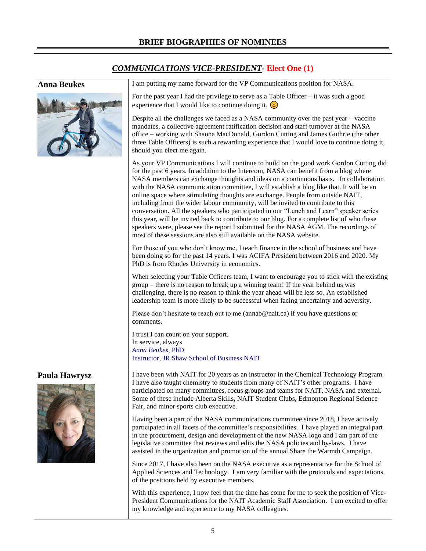| <b>COMMUNICATIONS VICE-PRESIDENT- Elect One (1)</b> |                                                                                                                                                                                                                                                                                                                                                                                                                                                                                                                                                                                                                                                                                                                                                                                                                                                                                                     |
|-----------------------------------------------------|-----------------------------------------------------------------------------------------------------------------------------------------------------------------------------------------------------------------------------------------------------------------------------------------------------------------------------------------------------------------------------------------------------------------------------------------------------------------------------------------------------------------------------------------------------------------------------------------------------------------------------------------------------------------------------------------------------------------------------------------------------------------------------------------------------------------------------------------------------------------------------------------------------|
| <b>Anna Beukes</b>                                  | I am putting my name forward for the VP Communications position for NASA.                                                                                                                                                                                                                                                                                                                                                                                                                                                                                                                                                                                                                                                                                                                                                                                                                           |
|                                                     | For the past year I had the privilege to serve as a Table Officer - it was such a good<br>experience that I would like to continue doing it. $\odot$                                                                                                                                                                                                                                                                                                                                                                                                                                                                                                                                                                                                                                                                                                                                                |
|                                                     | Despite all the challenges we faced as a NASA community over the past year – vaccine<br>mandates, a collective agreement ratification decision and staff turnover at the NASA<br>office - working with Shauna MacDonald, Gordon Cutting and James Guthrie (the other<br>three Table Officers) is such a rewarding experience that I would love to continue doing it,<br>should you elect me again.                                                                                                                                                                                                                                                                                                                                                                                                                                                                                                  |
|                                                     | As your VP Communications I will continue to build on the good work Gordon Cutting did<br>for the past 6 years. In addition to the Intercom, NASA can benefit from a blog where<br>NASA members can exchange thoughts and ideas on a continuous basis. In collaboration<br>with the NASA communication committee, I will establish a blog like that. It will be an<br>online space where stimulating thoughts are exchange. People from outside NAIT,<br>including from the wider labour community, will be invited to contribute to this<br>conversation. All the speakers who participated in our "Lunch and Learn" speaker series<br>this year, will be invited back to contribute to our blog. For a complete list of who these<br>speakers were, please see the report I submitted for the NASA AGM. The recordings of<br>most of these sessions are also still available on the NASA website. |
|                                                     | For those of you who don't know me, I teach finance in the school of business and have<br>been doing so for the past 14 years. I was ACIFA President between 2016 and 2020. My<br>PhD is from Rhodes University in economics.                                                                                                                                                                                                                                                                                                                                                                                                                                                                                                                                                                                                                                                                       |
|                                                     | When selecting your Table Officers team, I want to encourage you to stick with the existing<br>group – there is no reason to break up a winning team! If the year behind us was<br>challenging, there is no reason to think the year ahead will be less so. An established<br>leadership team is more likely to be successful when facing uncertainty and adversity.                                                                                                                                                                                                                                                                                                                                                                                                                                                                                                                                |
|                                                     | Please don't hesitate to reach out to me (annab@nait.ca) if you have questions or<br>comments.                                                                                                                                                                                                                                                                                                                                                                                                                                                                                                                                                                                                                                                                                                                                                                                                      |
|                                                     | I trust I can count on your support.<br>In service, always<br>Anna Beukes, PhD<br><b>Instructor, JR Shaw School of Business NAIT</b>                                                                                                                                                                                                                                                                                                                                                                                                                                                                                                                                                                                                                                                                                                                                                                |
| <b>Paula Hawrysz</b>                                | I have been with NAIT for 20 years as an instructor in the Chemical Technology Program.<br>I have also taught chemistry to students from many of NAIT's other programs. I have<br>participated on many committees, focus groups and teams for NAIT, NASA and external.<br>Some of these include Alberta Skills, NAIT Student Clubs, Edmonton Regional Science<br>Fair, and minor sports club executive.                                                                                                                                                                                                                                                                                                                                                                                                                                                                                             |
|                                                     | Having been a part of the NASA communications committee since 2018, I have actively<br>participated in all facets of the committee's responsibilities. I have played an integral part<br>in the procurement, design and development of the new NASA logo and I am part of the<br>legislative committee that reviews and edits the NASA policies and by-laws. I have<br>assisted in the organization and promotion of the annual Share the Warmth Campaign.                                                                                                                                                                                                                                                                                                                                                                                                                                          |
|                                                     | Since 2017, I have also been on the NASA executive as a representative for the School of<br>Applied Sciences and Technology. I am very familiar with the protocols and expectations<br>of the positions held by executive members.                                                                                                                                                                                                                                                                                                                                                                                                                                                                                                                                                                                                                                                                  |
|                                                     | With this experience, I now feel that the time has come for me to seek the position of Vice-<br>President Communications for the NAIT Academic Staff Association. I am excited to offer<br>my knowledge and experience to my NASA colleagues.                                                                                                                                                                                                                                                                                                                                                                                                                                                                                                                                                                                                                                                       |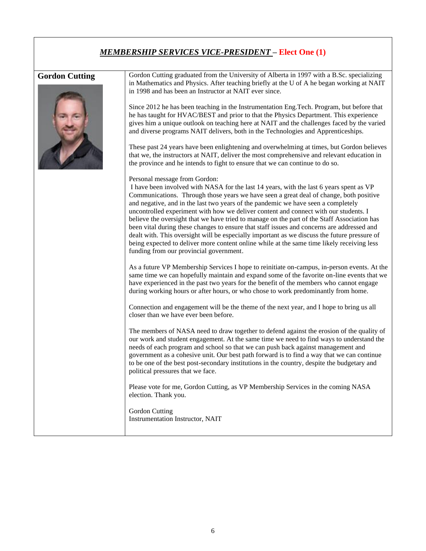### *MEMBERSHIP SERVICES VICE-PRESIDENT* **– Elect One (1)**



Gordon Cutting Gordon Cutting graduated from the University of Alberta in 1997 with a B.Sc. specializing in Mathematics and Physics. After teaching briefly at the U of A he began working at NAIT in 1998 and has been an Instructor at NAIT ever since.

> Since 2012 he has been teaching in the Instrumentation Eng.Tech. Program, but before that he has taught for HVAC/BEST and prior to that the Physics Department. This experience gives him a unique outlook on teaching here at NAIT and the challenges faced by the varied and diverse programs NAIT delivers, both in the Technologies and Apprenticeships.

> These past 24 years have been enlightening and overwhelming at times, but Gordon believes that we, the instructors at NAIT, deliver the most comprehensive and relevant education in the province and he intends to fight to ensure that we can continue to do so.

Personal message from Gordon:

I have been involved with NASA for the last 14 years, with the last 6 years spent as VP Communications. Through those years we have seen a great deal of change, both positive and negative, and in the last two years of the pandemic we have seen a completely uncontrolled experiment with how we deliver content and connect with our students. I believe the oversight that we have tried to manage on the part of the Staff Association has been vital during these changes to ensure that staff issues and concerns are addressed and dealt with. This oversight will be especially important as we discuss the future pressure of being expected to deliver more content online while at the same time likely receiving less funding from our provincial government.

As a future VP Membership Services I hope to reinitiate on-campus, in-person events. At the same time we can hopefully maintain and expand some of the favorite on-line events that we have experienced in the past two years for the benefit of the members who cannot engage during working hours or after hours, or who chose to work predominantly from home.

Connection and engagement will be the theme of the next year, and I hope to bring us all closer than we have ever been before.

The members of NASA need to draw together to defend against the erosion of the quality of our work and student engagement. At the same time we need to find ways to understand the needs of each program and school so that we can push back against management and government as a cohesive unit. Our best path forward is to find a way that we can continue to be one of the best post-secondary institutions in the country, despite the budgetary and political pressures that we face.

Please vote for me, Gordon Cutting, as VP Membership Services in the coming NASA election. Thank you.

Gordon Cutting Instrumentation Instructor, NAIT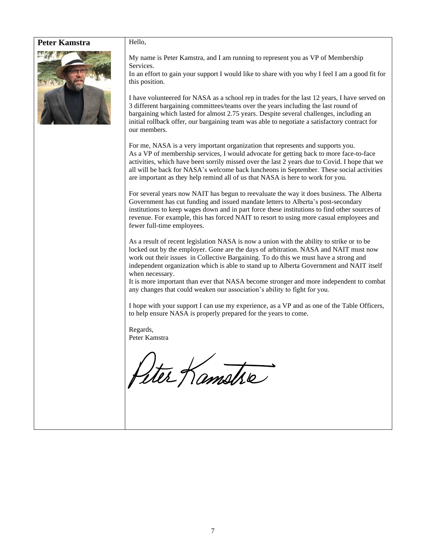#### Peter Kamstra | Hello,



My name is Peter Kamstra, and I am running to represent you as VP of Membership Services.

In an effort to gain your support I would like to share with you why I feel I am a good fit for this position.

I have volunteered for NASA as a school rep in trades for the last 12 years, I have served on 3 different bargaining committees/teams over the years including the last round of bargaining which lasted for almost 2.75 years. Despite several challenges, including an initial rollback offer, our bargaining team was able to negotiate a satisfactory contract for our members.

For me, NASA is a very important organization that represents and supports you. As a VP of membership services, I would advocate for getting back to more face-to-face activities, which have been sorrily missed over the last 2 years due to Covid. I hope that we all will be back for NASA's welcome back luncheons in September. These social activities are important as they help remind all of us that NASA is here to work for you.

For several years now NAIT has begun to reevaluate the way it does business. The Alberta Government has cut funding and issued mandate letters to Alberta's post-secondary institutions to keep wages down and in part force these institutions to find other sources of revenue. For example, this has forced NAIT to resort to using more casual employees and fewer full-time employees.

As a result of recent legislation NASA is now a union with the ability to strike or to be locked out by the employer. Gone are the days of arbitration. NASA and NAIT must now work out their issues in Collective Bargaining. To do this we must have a strong and independent organization which is able to stand up to Alberta Government and NAIT itself when necessary.

It is more important than ever that NASA become stronger and more independent to combat any changes that could weaken our association's ability to fight for you.

I hope with your support I can use my experience, as a VP and as one of the Table Officers, to help ensure NASA is properly prepared for the years to come.

Regards, Peter Kamstra

Ster Kamske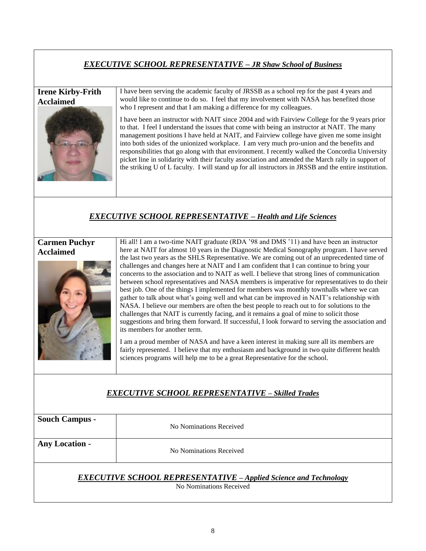## *EXECUTIVE SCHOOL REPRESENTATIVE – JR Shaw School of Business*

#### **Irene Kirby-Frith Acclaimed**



I have been serving the academic faculty of JRSSB as a school rep for the past 4 years and would like to continue to do so. I feel that my involvement with NASA has benefited those who I represent and that I am making a difference for my colleagues.

I have been an instructor with NAIT since 2004 and with Fairview College for the 9 years prior to that. I feel I understand the issues that come with being an instructor at NAIT. The many management positions I have held at NAIT, and Fairview college have given me some insight into both sides of the unionized workplace. I am very much pro-union and the benefits and responsibilities that go along with that environment. I recently walked the Concordia University picket line in solidarity with their faculty association and attended the March rally in support of the striking U of L faculty. I will stand up for all instructors in JRSSB and the entire institution.

### *EXECUTIVE SCHOOL REPRESENTATIVE – Health and Life Sciences*

### **Carmen Puchyr Acclaimed**



Hi all! I am a two-time NAIT graduate (RDA '98 and DMS '11) and have been an instructor here at NAIT for almost 10 years in the Diagnostic Medical Sonography program. I have served the last two years as the SHLS Representative. We are coming out of an unprecedented time of challenges and changes here at NAIT and I am confident that I can continue to bring your concerns to the association and to NAIT as well. I believe that strong lines of communication between school representatives and NASA members is imperative for representatives to do their best job. One of the things I implemented for members was monthly townhalls where we can gather to talk about what's going well and what can be improved in NAIT's relationship with NASA. I believe our members are often the best people to reach out to for solutions to the challenges that NAIT is currently facing, and it remains a goal of mine to solicit those suggestions and bring them forward. If successful, I look forward to serving the association and its members for another term.

I am a proud member of NASA and have a keen interest in making sure all its members are fairly represented. I believe that my enthusiasm and background in two quite different health sciences programs will help me to be a great Representative for the school.

## *EXECUTIVE SCHOOL REPRESENTATIVE – Skilled Trades*

| <b>Souch Campus -</b>                                                                              | No Nominations Received |
|----------------------------------------------------------------------------------------------------|-------------------------|
| <b>Any Location -</b>                                                                              | No Nominations Received |
| <b>EXECUTIVE SCHOOL REPRESENTATIVE - Applied Science and Technology</b><br>No Nominations Received |                         |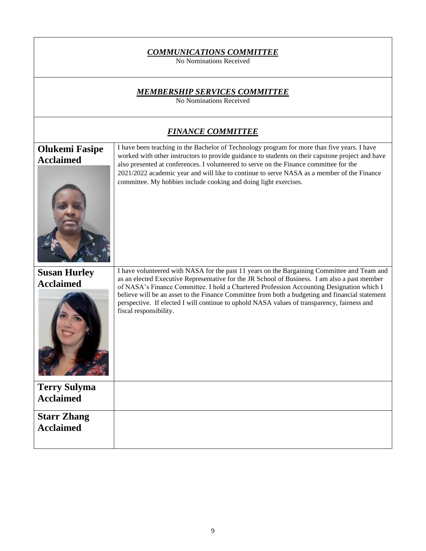| <b>COMMUNICATIONS COMMITTEE</b><br>No Nominations Received      |                                                                                                                                                                                                                                                                                                                                                                                                                                                                                                                       |  |
|-----------------------------------------------------------------|-----------------------------------------------------------------------------------------------------------------------------------------------------------------------------------------------------------------------------------------------------------------------------------------------------------------------------------------------------------------------------------------------------------------------------------------------------------------------------------------------------------------------|--|
| <b>MEMBERSHIP SERVICES COMMITTEE</b><br>No Nominations Received |                                                                                                                                                                                                                                                                                                                                                                                                                                                                                                                       |  |
|                                                                 | <b>FINANCE COMMITTEE</b>                                                                                                                                                                                                                                                                                                                                                                                                                                                                                              |  |
| <b>Olukemi Fasipe</b><br><b>Acclaimed</b>                       | I have been teaching in the Bachelor of Technology program for more than five years. I have<br>worked with other instructors to provide guidance to students on their capstone project and have<br>also presented at conferences. I volunteered to serve on the Finance committee for the<br>2021/2022 academic year and will like to continue to serve NASA as a member of the Finance<br>committee. My hobbies include cooking and doing light exercises.                                                           |  |
| <b>Susan Hurley</b><br><b>Acclaimed</b>                         | I have volunteered with NASA for the past 11 years on the Bargaining Committee and Team and<br>as an elected Executive Representative for the JR School of Business. I am also a past member<br>of NASA's Finance Committee. I hold a Chartered Profession Accounting Designation which I<br>believe will be an asset to the Finance Committee from both a budgeting and financial statement<br>perspective. If elected I will continue to uphold NASA values of transparency, fairness and<br>fiscal responsibility. |  |
| <b>Terry Sulyma</b><br><b>Acclaimed</b>                         |                                                                                                                                                                                                                                                                                                                                                                                                                                                                                                                       |  |
| <b>Starr Zhang</b><br><b>Acclaimed</b>                          |                                                                                                                                                                                                                                                                                                                                                                                                                                                                                                                       |  |